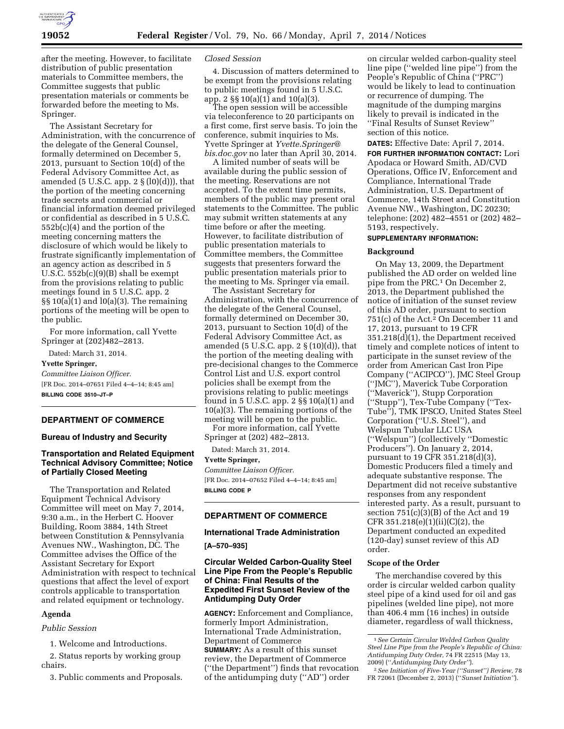

after the meeting. However, to facilitate distribution of public presentation materials to Committee members, the Committee suggests that public presentation materials or comments be forwarded before the meeting to Ms. Springer.

The Assistant Secretary for Administration, with the concurrence of the delegate of the General Counsel, formally determined on December 5, 2013, pursuant to Section 10(d) of the Federal Advisory Committee Act, as amended (5 U.S.C. app.  $2 \S(10)(d))$ ), that the portion of the meeting concerning trade secrets and commercial or financial information deemed privileged or confidential as described in 5 U.S.C. 552b(c)(4) and the portion of the meeting concerning matters the disclosure of which would be likely to frustrate significantly implementation of an agency action as described in 5 U.S.C. 552b(c)(9)(B) shall be exempt from the provisions relating to public meetings found in 5 U.S.C. app. 2  $\S\S10(a)(1)$  and  $I0(a)(3)$ . The remaining portions of the meeting will be open to the public.

For more information, call Yvette Springer at (202)482–2813.

Dated: March 31, 2014.

#### **Yvette Springer,**

*Committee Liaison Officer.*  [FR Doc. 2014–07651 Filed 4–4–14; 8:45 am] **BILLING CODE 3510–JT–P** 

# **DEPARTMENT OF COMMERCE**

## **Bureau of Industry and Security**

# **Transportation and Related Equipment Technical Advisory Committee; Notice of Partially Closed Meeting**

The Transportation and Related Equipment Technical Advisory Committee will meet on May 7, 2014, 9:30 a.m., in the Herbert C. Hoover Building, Room 3884, 14th Street between Constitution & Pennsylvania Avenues NW., Washington, DC. The Committee advises the Office of the Assistant Secretary for Export Administration with respect to technical questions that affect the level of export controls applicable to transportation and related equipment or technology.

#### **Agenda**

# *Public Session*

1. Welcome and Introductions.

2. Status reports by working group chairs.

3. Public comments and Proposals.

## *Closed Session*

4. Discussion of matters determined to be exempt from the provisions relating to public meetings found in 5 U.S.C. app. 2 §§ 10(a)(1) and 10(a)(3).

The open session will be accessible via teleconference to 20 participants on a first come, first serve basis. To join the conference, submit inquiries to Ms. Yvette Springer at *[Yvette.Springer@](mailto:Yvette.Springer@bis.doc.gov) [bis.doc.gov](mailto:Yvette.Springer@bis.doc.gov)* no later than April 30, 2014.

A limited number of seats will be available during the public session of the meeting. Reservations are not accepted. To the extent time permits, members of the public may present oral statements to the Committee. The public may submit written statements at any time before or after the meeting. However, to facilitate distribution of public presentation materials to Committee members, the Committee suggests that presenters forward the public presentation materials prior to the meeting to Ms. Springer via email.

The Assistant Secretary for Administration, with the concurrence of the delegate of the General Counsel, formally determined on December 30, 2013, pursuant to Section 10(d) of the Federal Advisory Committee Act, as amended (5 U.S.C. app.  $2 \S(10)(d)$ ), that the portion of the meeting dealing with pre-decisional changes to the Commerce Control List and U.S. export control policies shall be exempt from the provisions relating to public meetings found in 5 U.S.C. app. 2 §§ 10(a)(1) and 10(a)(3). The remaining portions of the meeting will be open to the public. For more information, call Yvette

Springer at (202) 482–2813.

Dated: March 31, 2014.

## **Yvette Springer,**

*Committee Liaison Officer.*  [FR Doc. 2014–07652 Filed 4–4–14; 8:45 am] **BILLING CODE P** 

# **DEPARTMENT OF COMMERCE**

## **International Trade Administration**

## **[A–570–935]**

# **Circular Welded Carbon-Quality Steel Line Pipe From the People's Republic of China: Final Results of the Expedited First Sunset Review of the Antidumping Duty Order**

**AGENCY:** Enforcement and Compliance, formerly Import Administration, International Trade Administration, Department of Commerce **SUMMARY:** As a result of this sunset review, the Department of Commerce (''the Department'') finds that revocation of the antidumping duty (''AD'') order

on circular welded carbon-quality steel line pipe (''welded line pipe'') from the People's Republic of China (''PRC'') would be likely to lead to continuation or recurrence of dumping. The magnitude of the dumping margins likely to prevail is indicated in the ''Final Results of Sunset Review'' section of this notice.

**DATES:** Effective Date: April 7, 2014.

**FOR FURTHER INFORMATION CONTACT:** Lori Apodaca or Howard Smith, AD/CVD Operations, Office IV, Enforcement and Compliance, International Trade Administration, U.S. Department of Commerce, 14th Street and Constitution Avenue NW., Washington, DC 20230; telephone: (202) 482–4551 or (202) 482– 5193, respectively.

## **SUPPLEMENTARY INFORMATION:**

#### **Background**

On May 13, 2009, the Department published the AD order on welded line pipe from the PRC.1 On December 2, 2013, the Department published the notice of initiation of the sunset review of this AD order, pursuant to section 751(c) of the Act.<sup>2</sup> On December 11 and 17, 2013, pursuant to 19 CFR 351.218(d)(1), the Department received timely and complete notices of intent to participate in the sunset review of the order from American Cast Iron Pipe Company (''ACIPCO''), JMC Steel Group (''JMC''), Maverick Tube Corporation (''Maverick''), Stupp Corporation (''Stupp''), Tex-Tube Company (''Tex-Tube''), TMK IPSCO, United States Steel Corporation (''U.S. Steel''), and Welspun Tubular LLC USA (''Welspun'') (collectively ''Domestic Producers''). On January 2, 2014, pursuant to 19 CFR 351.218(d)(3), Domestic Producers filed a timely and adequate substantive response. The Department did not receive substantive responses from any respondent interested party. As a result, pursuant to section  $751(c)(3)(B)$  of the Act and 19 CFR  $351.218(e)(1)(ii)(C)(2)$ , the Department conducted an expedited (120-day) sunset review of this AD order.

## **Scope of the Order**

The merchandise covered by this order is circular welded carbon quality steel pipe of a kind used for oil and gas pipelines (welded line pipe), not more than 406.4 mm (16 inches) in outside diameter, regardless of wall thickness,

<sup>1</sup>*See Certain Circular Welded Carbon Quality Steel Line Pipe from the People's Republic of China: Antidumping Duty Order,* 74 FR 22515 (May 13, 2009) (''*Antidumping Duty Order''*).

<sup>2</sup>*See Initiation of Five-Year (''Sunset'') Review,* 78 FR 72061 (December 2, 2013) (''*Sunset Initiation''*).